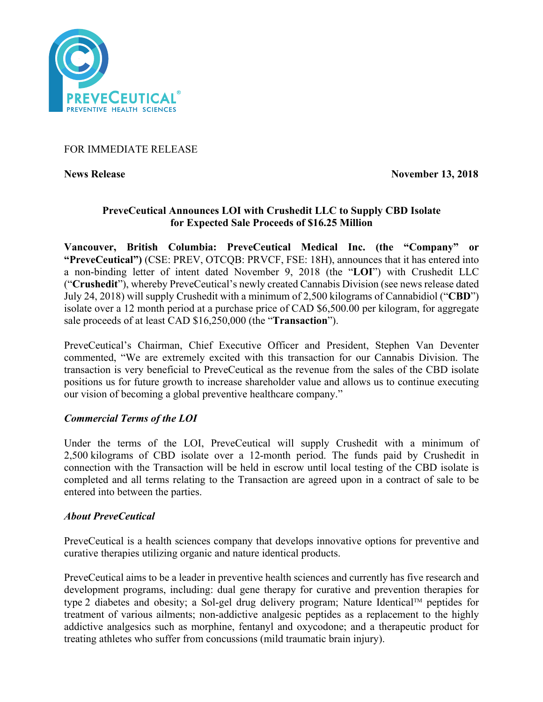

## FOR IMMEDIATE RELEASE

**News Release November 13, 2018** 

# **PreveCeutical Announces LOI with Crushedit LLC to Supply CBD Isolate for Expected Sale Proceeds of \$16.25 Million**

**Vancouver, British Columbia: PreveCeutical Medical Inc. (the "Company" or "PreveCeutical")** (CSE: PREV, OTCQB: PRVCF, FSE: 18H), announces that it has entered into a non-binding letter of intent dated November 9, 2018 (the "**LOI**") with Crushedit LLC ("**Crushedit**"), whereby PreveCeutical's newly created Cannabis Division (see news release dated July 24, 2018) will supply Crushedit with a minimum of 2,500 kilograms of Cannabidiol ("**CBD**") isolate over a 12 month period at a purchase price of CAD \$6,500.00 per kilogram, for aggregate sale proceeds of at least CAD \$16,250,000 (the "**Transaction**").

PreveCeutical's Chairman, Chief Executive Officer and President, Stephen Van Deventer commented, "We are extremely excited with this transaction for our Cannabis Division. The transaction is very beneficial to PreveCeutical as the revenue from the sales of the CBD isolate positions us for future growth to increase shareholder value and allows us to continue executing our vision of becoming a global preventive healthcare company."

## *Commercial Terms of the LOI*

Under the terms of the LOI, PreveCeutical will supply Crushedit with a minimum of 2,500 kilograms of CBD isolate over a 12-month period. The funds paid by Crushedit in connection with the Transaction will be held in escrow until local testing of the CBD isolate is completed and all terms relating to the Transaction are agreed upon in a contract of sale to be entered into between the parties.

## *About PreveCeutical*

PreveCeutical is a health sciences company that develops innovative options for preventive and curative therapies utilizing organic and nature identical products.

PreveCeutical aims to be a leader in preventive health sciences and currently has five research and development programs, including: dual gene therapy for curative and prevention therapies for type 2 diabetes and obesity; a Sol-gel drug delivery program; Nature Identical<sup>TM</sup> peptides for treatment of various ailments; non-addictive analgesic peptides as a replacement to the highly addictive analgesics such as morphine, fentanyl and oxycodone; and a therapeutic product for treating athletes who suffer from concussions (mild traumatic brain injury).